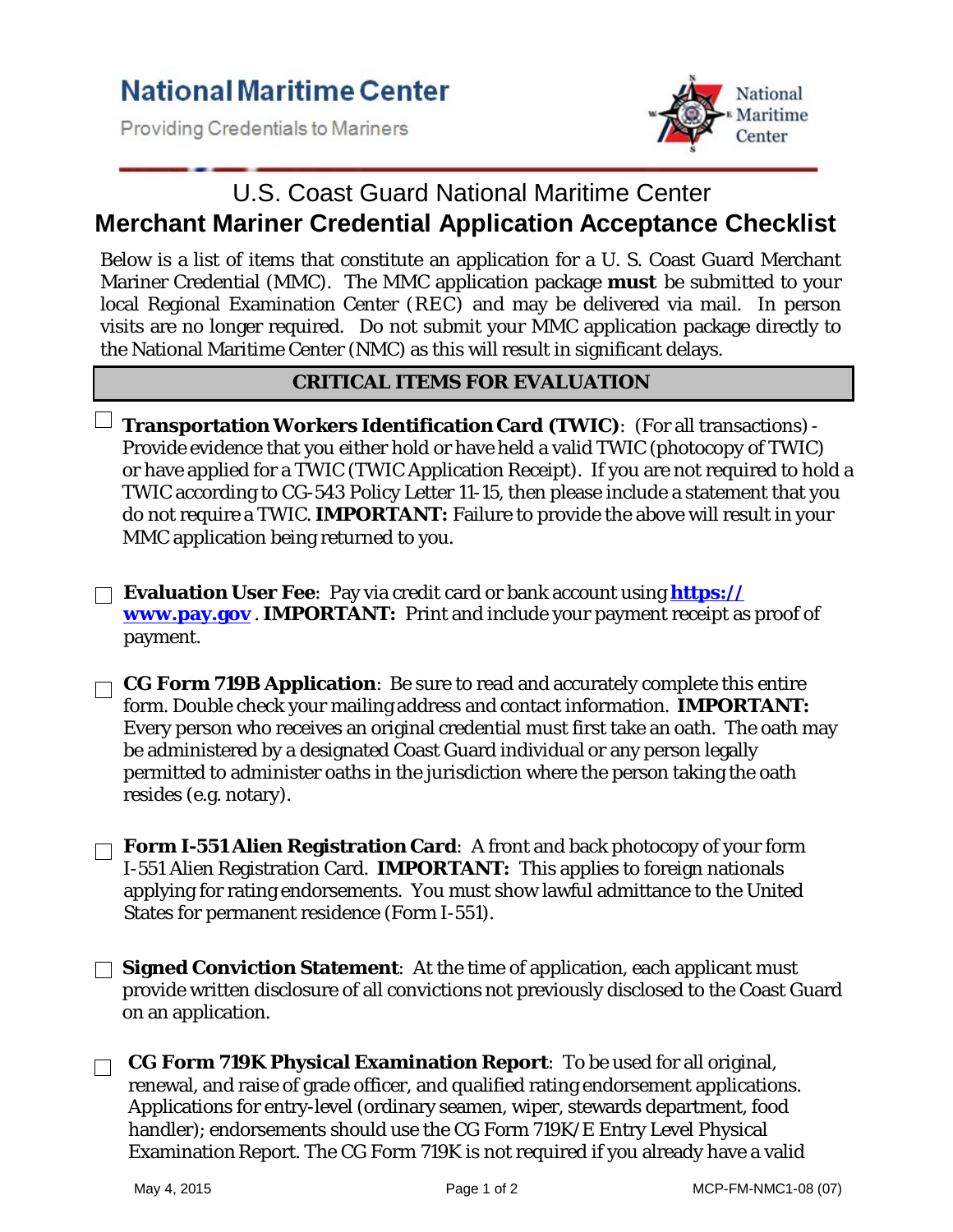**Providing Credentials to Mariners** 



## U.S. Coast Guard National Maritime Center **Merchant Mariner Credential Application Acceptance Checklist**

Below is a list of items that constitute an application for a U. S. Coast Guard Merchant Mariner Credential (MMC). The MMC application package *must* be submitted to your local Regional Examination Center (REC) and may be delivered via mail. In person visits are no longer required. Do not submit your MMC application package directly to the National Maritime Center (NMC) as this will result in significant delays.

## **CRITICAL ITEMS FOR EVALUATION**

**Transportation Workers Identification Card (TWIC)**: (For all transactions)- Provide evidence that you either hold or have held a valid TWIC (photocopy of TWIC) or have applied for a TWIC (TWIC Application Receipt). If you are not required to hold a TWIC according to CG-543 Policy Letter 11-15, then please include a statement that you do not require a TWIC. **IMPORTANT:** Failure to provide the above will result in your MMC application being returned to you.

**Evaluation User Fee**: Pay via credit card or bank account using **https:// [www.pay.gov](http://www.pay.gov/)** . **IMPORTANT:** Print and include your payment receipt as proof of payment.

**CG Form 719B Application**: Be sure to read and accurately complete this entire form. Double check your mailing address and contact information. **IMPORTANT:**  Every person who receives an original credential must first take an oath. The oath may be administered by a designated Coast Guard individual or any person legally permitted to administer oaths in the jurisdiction where the person taking the oath resides (e.g. notary).

**Form I-551 Alien Registration Card**: A front and back photocopy of your form I-551 Alien Registration Card. **IMPORTANT:** This applies to foreign nationals applying for rating endorsements. You must show lawful admittance to the United States for permanent residence (Form I-551).

**Signed Conviction Statement**: At the time of application, each applicant must provide written disclosure of all convictions not previously disclosed to the Coast Guard on an application.

**CG Form 719K Physical Examination Report**: To be used for all original,  $\Box$ renewal, and raise of grade officer, and qualified rating endorsement applications. Applications for entry-level (ordinary seamen, wiper, stewards department, food handler); endorsements should use the CG Form 719K/E Entry Level Physical Examination Report. The CG Form 719K is not required if you already have a valid